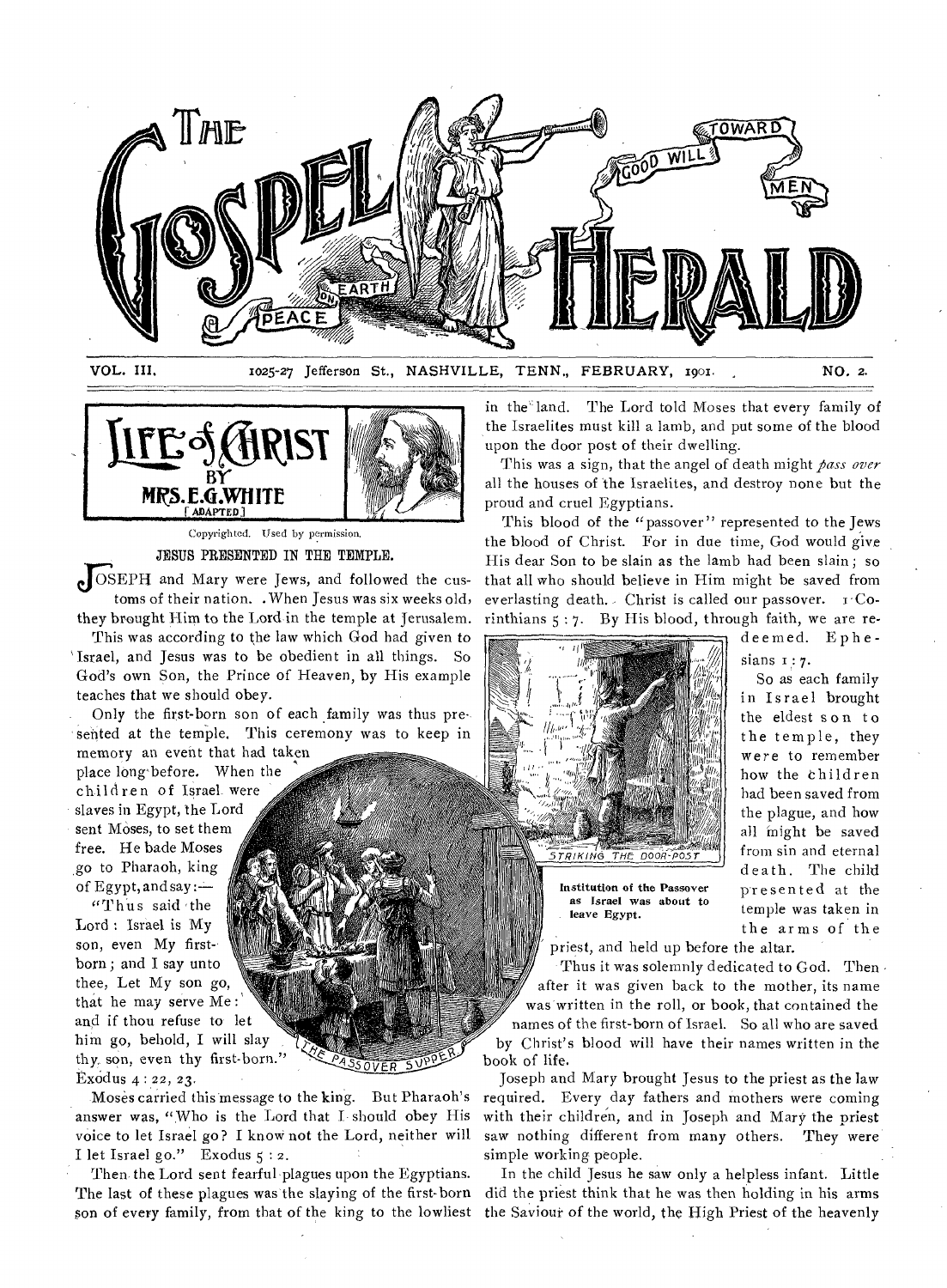



Copyrighted. Used by permission, JESUS PRESENTED IN THE TEMPLE.

 $\bullet$  OSEPH and Mary were Jews, and followed the customs of their nation. . When Jesus was six weeks old, they brought Him to the Lord in the temple at Jerusalem.

This was according to the law which God had given to Israel, and Jesus was to be obedient in all things. So God's own Son, the Prince of Heaven, by His example teaches that we should obey.

Only the first-born son of each family was thus presented at the temple. This ceremony was to keep in memory an event that had taken

place long'before. When the children of Israel were slaves in Egypt, the Lord sent Moses, to set them free. He bade Moses go to Pharaoh, king of Egypt, and say : $-$ 

"Thus said the Lord : Israel is My son, even My firstborn ; and I say unto thee, Let My son go, that he may serve Me : and if thou refuse to let him go, behold, I will slay thy. son, even thy first-born." ExOdus 4 : 22, 23.

Moses carried this message to the king. But Pharaoh's answer was, "Who is the Lord that I should obey His voice to let Israel go? I know not the Lord, neither will I let Israel go." Exodus 5 : 2.

SOVER

Then the Lord sent fearful plagues upon the Egyptians. The last of these plagues was the slaying of the first-born son of every family, from that of the king to the lowliest

in the land. The Lord told Moses that every family of the Israelites must kill a lamb, and put some of the blood upon the door post of their dwelling.

This was a sign, that the angel of death might *pass over*  all the houses of the Israelites, and destroy none but the proud and cruel Egyptians.

This blood of the "passover" represented to the Jews the blood of Christ. For in due time, God would give His dear Son to be slain as the lamb had been slain; so that all who should believe in Him might be saved from everlasting death. Christ is called our passover.  $r^C$ Corinthians 5 : 7. By His blood, through faith, we are re-



Institution of the Passover as Israel was about to leave Egypt.

deemed. Ephesians  $1:7$ .

So as each family in Israel brought the eldest son to the temple, they were to remember how the ehildren had been saved from the plague, and how all might be saved from sin and eternal death. The child presented at the temple was taken in the arms of the

priest, and held up before the altar.

Thus it was solemnly dedicated to God. Then after it was given back to the mother, its name was written in the roll, or book, that contained the

names of the first-born of Israel. So all who are saved by Christ's blood will have their names written in the book of life.

Joseph and Mary brought Jesus to the priest as the law required. Every day fathers and mothers were coming with their children, and in Joseph and Mary the priest saw nothing different from many others. They were simple working people.

In the child Jesus he saw only a helpless infant. Little did the priest think that he was then holding in his arms the Saviour of the world, the High Priest of the heavenly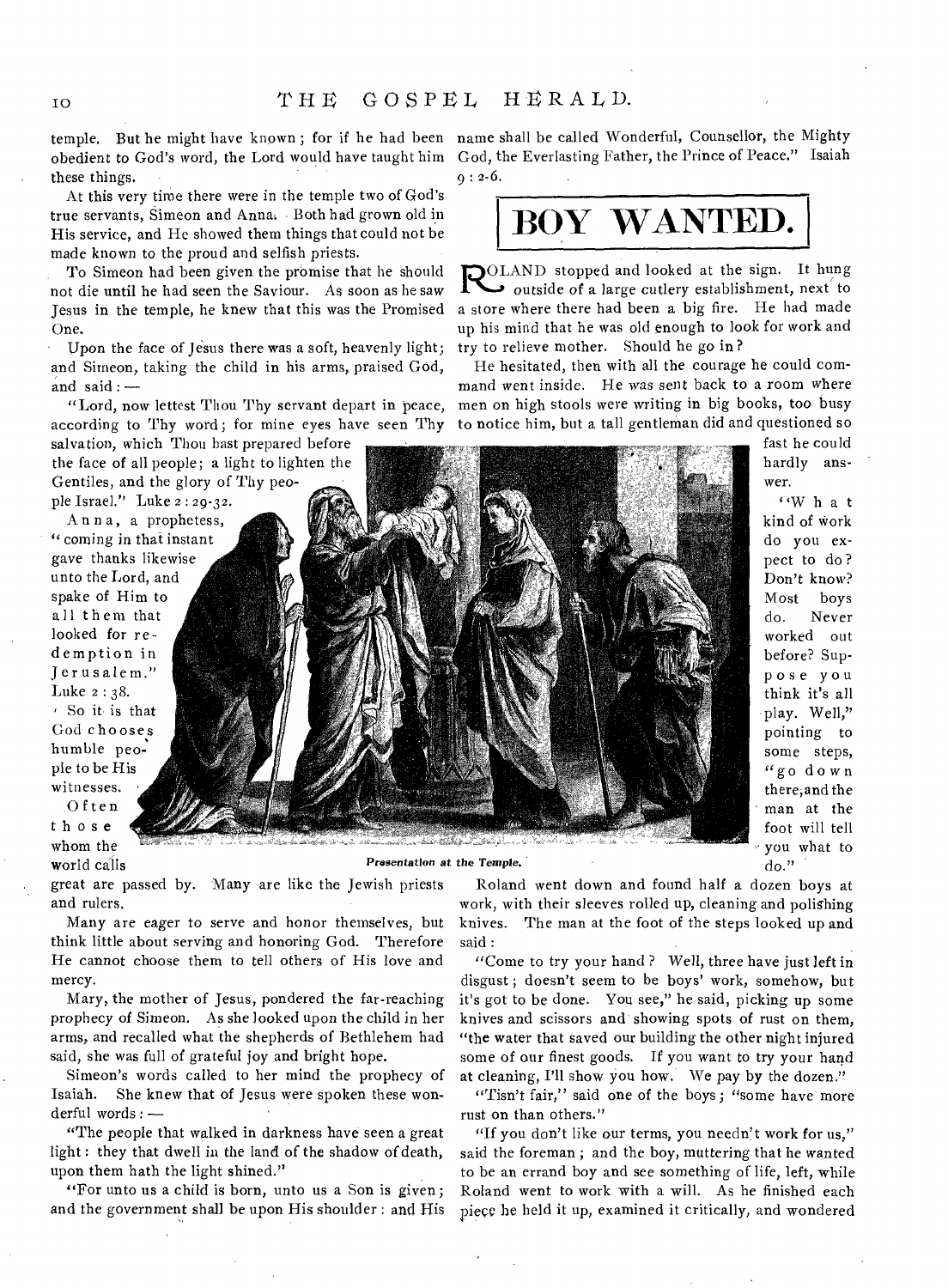temple. But he might have known ; for if he had been name shall be called Wonderful, Counsellor, the Mighty obedient to God's word, the Lord would have taught him God, the Everlasting Father, the Prince of Peace." Isaiah these things.

At this very time there were in the temple two of God's true servants, Simeon and Anna, Both had grown old in His service, and He showed them things that could not be made known to the proud and selfish priests.

To Simeon had been given the promise that he should not die until he had seen the Saviour. As soon as he saw Jesus in the temple, he knew that this was the Promised One.

Upon the face of Jesus there was a soft, heavenly light; and Simeon, taking the child in his arms, praised God, and said:—

"Lord, now lettest Thou Thy servant depart in peace, according to Thy word ; for mine eyes have seen Thy

salvation, which Thou hast prepared before the face of all people; a light to lighten the Gentiles, and the glory of Thy people Israel." Luke 2 : 29-32.

Anna, a prophetess, " coming in that instant gave thanks likewise unto the Lord, and spake of Him to all them that looked for redemption in Jerusalem." Luke 2 : 38. So it is that God chooses humble people to be His witnesses.

Often those whom the

world calls

*Presentation* **at the** *Temple.* 

great are passed by. Many are like the Jewish priests and rulers.

Many are eager to serve and honor themselves, but think little about serving and honoring God. Therefore He cannot choose them to tell others of His love and mercy.

Mary, the mother of Jesus, pondered the far-reaching prophecy of Simeon. As she looked upon the child in her arms, and recalled what the shepherds of Bethlehem had said, she was full of grateful joy and bright hope.

Simeon's words called to her mind the prophecy of Isaiah. She knew that of Jesus were spoken these wonderful words : —

"The people that walked in darkness have seen a great light : they that dwell in the land of the shadow of death, upon them hath the light shined."

"For unto us a child is born, unto us a Son is given ; and the government shall be upon His shoulder : and His  $9: 2-6.$ 



DOLAND stopped and looked at the sign. It hung outside of a large cutlery establishment, next to a store where there had been a big fire. He had made up his mind that he was old enough to look for work and try to relieve mother. Should he go in?

He hesitated, then with all the courage he could command went inside. He was sent back to a room where men on high stools were writing in big books, too busy to notice him, but a tall gentleman did and questioned so

> fast he could hardly answer.

"What kind of work do you expect to do ? Don't know? Most boys do. Never worked out before? Suppose you think it's all play. Well," pointing to some steps, "go down there,and the man at the foot will tell you what to do."

Roland went down and found half a dozen boys at work, with their sleeves rolled up, cleaning and polishing knives. The man at the foot of the steps looked up and said :

"Come to try your hand ? Well, three have just left in disgust; doesn't seem to be boys' work, somehow, but it's got to be done. You see," he said, picking up some knives and scissors and showing spots of rust on them, "the water that saved our building the other night injured some of our finest goods. If you want to try your hand at cleaning, I'll show you how. We pay by the dozen."

"Tisn't fair," said one of the boys; "some have more rust on than others."

"If you don't like our terms, you needn't work for us," said the foreman ; and the boy, muttering that he wanted to be an errand boy and see something of life, left, while Roland went to work with a will. As he finished each piece he held it up, examined it critically, and wondered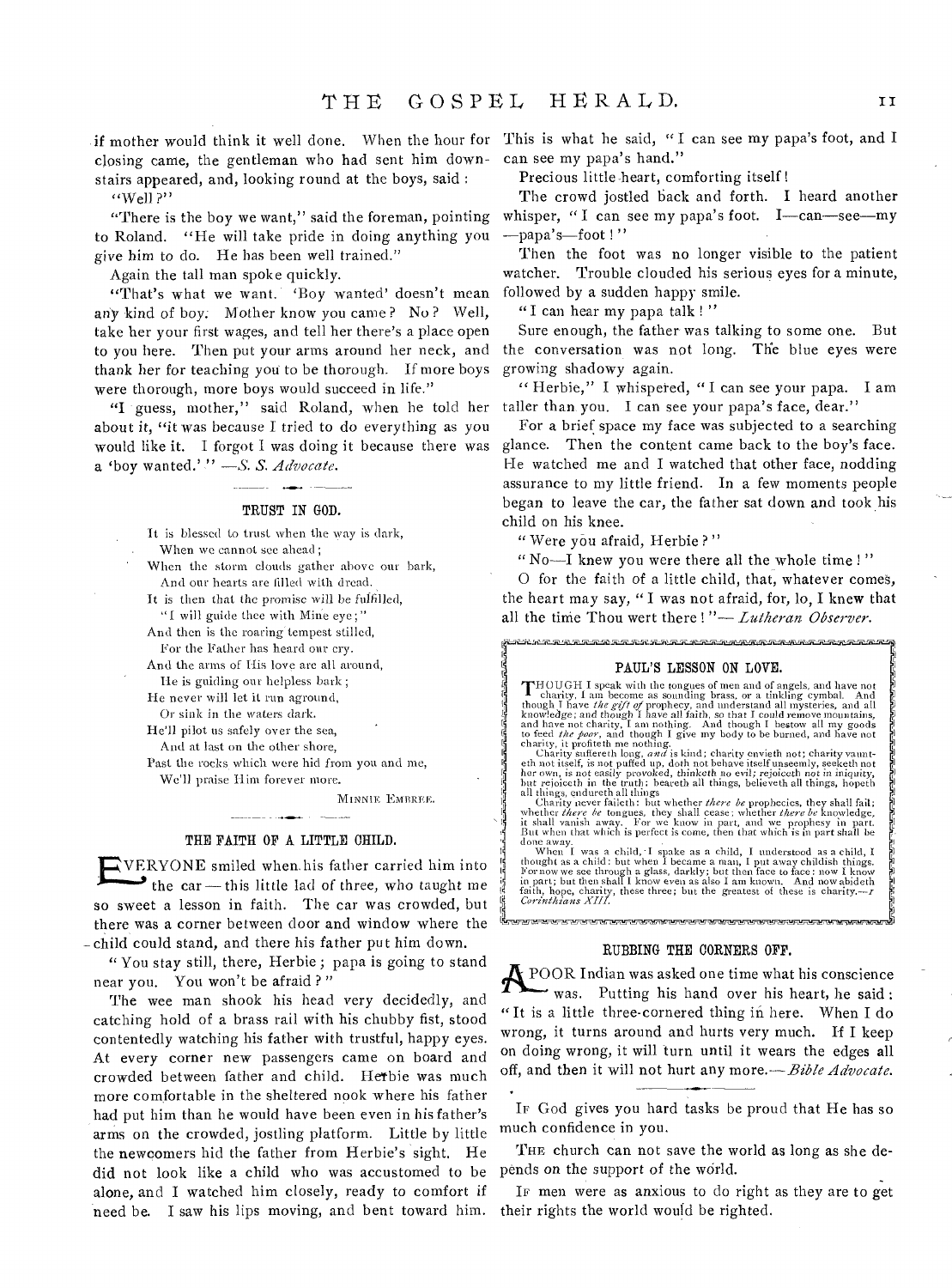closing came, the gentleman who had sent him down-can see my papa's hand." stairs appeared, and, looking round at the boys, said :

 $'$ 'Well ?"

"There is the boy we want," said the foreman, pointing to Roland. "He will take pride in doing anything you *give* him to do. He has been well trained."

Again the tall man spoke quickly.

"That's what we want. 'Boy wanted' doesn't mean any kind of boy; Mother know you came ? No ? Well, take her your first wages, and tell her there's a place open to you here. Then put your arms around her neck, and thank her for teaching you to be thorough. If more boys were thorough, more boys would succeed in life."

"I guess, mother," said Roland, when he told her about it, "it was because I tried to do everything as you would like it. I forgot I was doing it because there was a 'boy wanted.' " *—S. S. Advocate.* 

#### TRUST IN GOD.

It is blessed to trust when the way is dark, When we cannot see ahead; When the storm clouds gather above our bark, And our hearts are filled with dread. It is then that the promise will be fulfilled, "I will guide thee with Mine eye," And then is the roaring'tempest stilled, For the Father has heard our cry. And the arms of His love are all around, Ile is guiding our helpless bark; He never will let it run aground, Or sink in the waters dark. He'll pilot us safely over the sea, And at last on the other shore,

Past the rocks which were hid from you and me, We'll praise Him forever more.

MINNIE EMBREE.

### THE FAITH OF A LITTLE CHILD.

EV.LRYONE smiled when.his father carried him into the car - this little lad of three, who taught me so sweet a lesson in faith. The car was crowded, but there was a corner between door and window where the -child could stand, and there his father put him down.

" You stay still, there, Herbie ; papa is going to stand near you. You won't be afraid ? "

The wee man shook his head very decidedly, and catching hold of a brass rail with his chubby fist, stood contentedly watching his father with trustful, happy eyes. At every corner new passengers came on board and crowded between father and child. Hetbie was much more comfortable in the sheltered nook where his father had put him than he would have been even in his father's arms on the crowded, jostling platform. Little by little the newcomers hid the father from Herbie's sight. He did not look like a child who was accustomed to be alone, and I watched him closely, ready to comfort if need be. I saw his lips moving, and bent toward him.

if mother would think it well done. When the hour for This is what he said, " I can see my papa's foot, and I

Precious little-heart, comforting itself !

The crowd jostled back and forth. I heard another whisper, "I can see my papa's foot. I—can—see—my —papa's—foot ! "

Then the foot was no longer visible to the patient watcher. Trouble clouded his serious eyes for a minute, followed by a sudden happy smile.

"I can hear my papa talk ! "

Sure enough, the father was talking to some one. But the conversation was not long. The blue eyes were growing shadowy again.

" Herbie," I whispered, "I can see your papa. I am taller than you. I can see your papa's face, dear."

For a brief space my face was subjected to a searching glance. Then the content came back to the boy's face. He watched me and I watched that other face, nodding assurance to my little friend. In a few moments people began to leave the car, the father sat down and took his child on his knee.

" Were you afraid, Herbie ?"

waa wasan waxaa in daga ah waxaa waxaa ka

" No—I knew you were there all the whole time ! "

0 for the faith of a little child, that, whatever comes, the heart may say, "I was not afraid, for, lo, I knew that all the time Thou wert there ! "— *Lutheran Observer.* 

#### PAUL'S LESSON ON LOVE.

s a caracteristic community of the caracteristic community.

**T**HOUGH I speak with the tongues of men and of angels, and have not<br> **C**harity, I am become as sounding brass, or a tinkling cymbal. And<br>
though I have *the gift* of prophecy, and understand all mysteries, and all<br>
knowl

all things, endureth all things<br>
Charity never faileth : but whether there be prophecies, they shall fail;<br>
Charity never faileth: but whether there there there be knowledge,<br>
it shall vanish away. For we know in part, an

done away.<br>When I was a child, I spake as a child, I understood as a child, I thought as a child: but when I became a man, I put away childish things.<br>For now we see through a glass, darkly; but then face to face: now I k

#### RUBBING THE CORNERS OFF.

**A** POOR Indian was asked one time what his conscience was. Putting his hand over his heart, he said: "It is a little three-cornered thing in here. When I do wrong, it turns around and hurts very much. If I keep on doing wrong, it will turn until it wears the edges all off, and then it will not hurt any more.—Bible *Advocate.* 

IF God gives you hard tasks be proud that He has so much confidence in you.

THE church can not save the world as long as she depends on the support of the world.

IF men were as anxious to do right as they are to get their rights the world would be righted.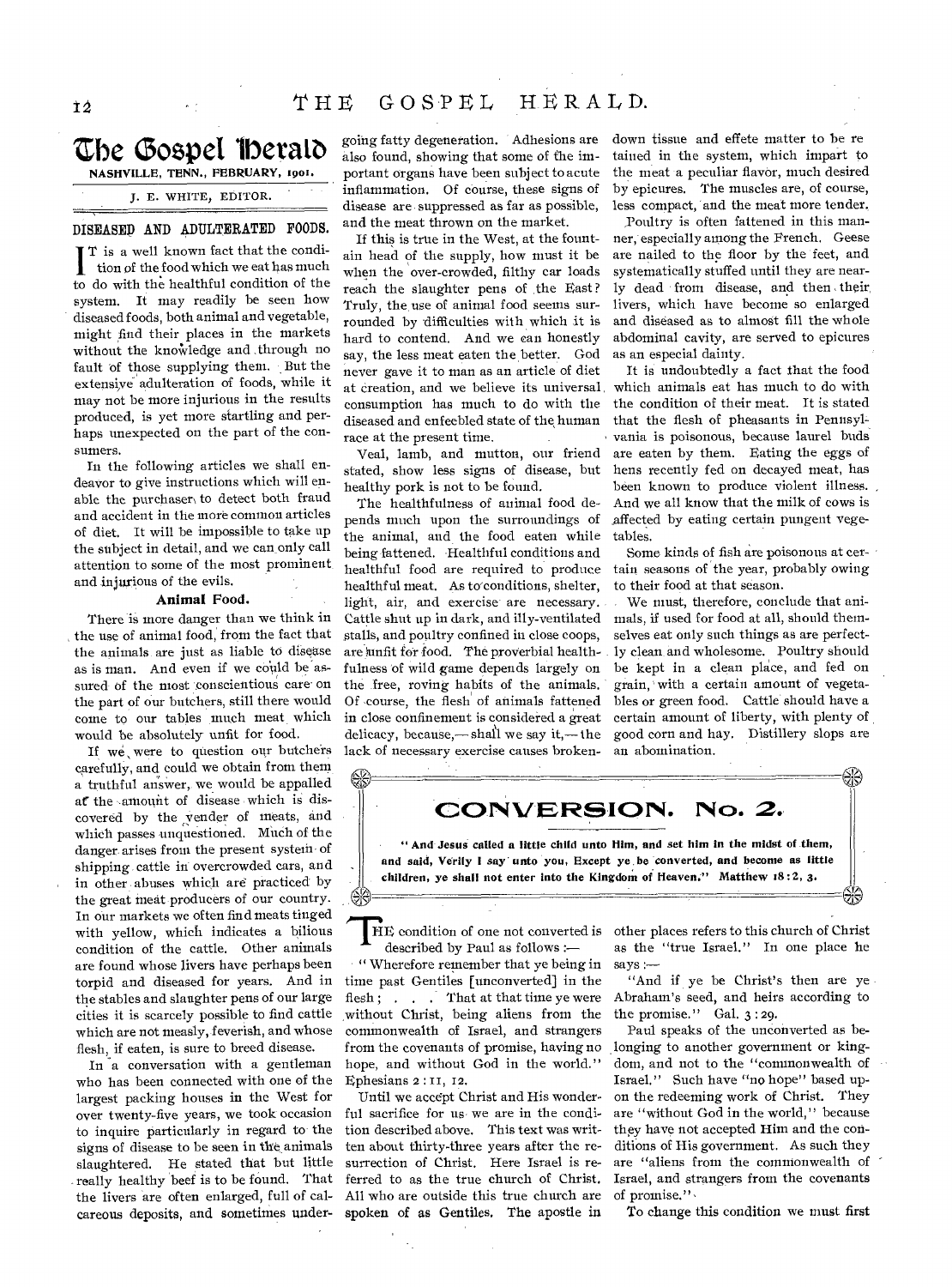# the Good **lberalo**  NASHVILLE, TENN., FEBRUARY, 1901.

J. E. WHITE, EDITOR.

# DISEASED AND ADULTERATED FOODS.

I T is a well known fact that the condition of the food which we eat has much to do with the healthful condition of the system. It may readily be seen how diseased foods, both animal and vegetable, might find their places in the markets without the knowledge and through no fault of those supplying them. But the extensive adulteration of foods, while it may not be more injurious in the results produced, is yet more startling and perhaps unexpected on the part of the consumers.

In the following articles we shall endeavor to give instructions which will enable the purchaser to detect both fraud and accident in the more common articles of diet. It will be impossible to take up the subject in detail, and we can only call attention to some of the most prominent and injurious of the evils.

#### Animal Food.

There is more danger than we think in the use of animal food, from the fact that the animals are just as liable to disease as is man. And even if we could be'assured- of the most conscientious care on the part of our butchers, still there would come to our tables much meat which would be absolutely unfit for food.

If we were to question our butchers carefully, and could we obtain from them a truthful answer, we would be appalled at the amount of disease which is discovered by the vender of meats, and which passes unquestioned. Much of the danger arises front the present system of shipping cattle in overcrowded cars, and in other abuses which are practiced by the great meat producers of our country. In our markets we often find meats tinged with yellow, which indicates a bilious condition of the cattle. Other animals are found whose livers have perhaps been torpid and diseased for years. And in the stables and slaughter pens of our large cities it is scarcely possible to find cattle which are not measly, feverish, and whose flesh, if eaten, is sure to breed disease.

In a conversation with a gentleman who has been connected with one of the largest packing houses in the West for over twenty-five years, we took occasion to inquire particularly in regard to the signs of disease to be seen in the animals slaughtered. He stated that but little really healthy beef is to be found. That the livers are often enlarged, full of calcareous deposits, and sometimes under-

also found, showing that some of the important organs have been subject to acute inflammation. Of course, these signs of disease are suppressed as far as possible, and the meat thrown on the market.

If this is true in the West, at the fountain head of the supply, how must it be when the over-crowded, filthy car loads reach the slaughter pens of the East? Truly, the, use of animal food seems surrounded by difficulties with which it is hard to contend. And we can honestly say, the less meat eaten the better. God never gave it to man as an article of diet at creation, and we believe its universal consumption has much to do with the diseased and enfeebled state of the, human race at the present time.

Veal, lamb, and mutton, our friend stated, show less signs of disease, but healthy pork is not to be found.

The healthfulness of animal food depends much upon the surroundings of the animal, and the food eaten while being fattened. Healthful conditions and healthful food are required to produce healthful meat. As to'conditions, shelter, light, air, and exercise are necessary. Cattle shut up in dark, and illy-ventilated stalls, and poultry confined in close coops, are unfit for food. The proverbial healthfulness of wild game depends largely on the free, roving habits of the animals. Of course, the flesh' of animals fattened in close confinement is considered a great delicacy, because,—shall we say it,— the lack of necessary exercise causes broken-

going fatty degeneration. Adhesions are down tissue and effete matter to be re tained in the system, which impart to the meat a peculiar flavor, much desired by epicures. The muscles are, of course, less compact, and the meat more tender.

> Poultry is often fattened in this manner, especially among the Prench. Geese are nailed to the floor by the feet, and systematically stuffed until they are nearly dead from disease, and then their, livers, which have become so enlarged and diseased as to almost fill the whole abdominal cavity, are served to epicures as an especial dainty.

It is undoubtedly a fact that the food which animals eat has much to do with the condition of their meat. It is stated that the flesh of pheasants in Pennsylvania is poisonous, because laurel buds are eaten by them. Eating the eggs of hens recently fed on decayed meat, has been known to produce violent illness. And we all know that the milk of cows is affected by eating certain pungent vegetables.

Some kinds of fish are poisonous at certain seasons of the year, probably owing to their food at that season.

We must, therefore, conclude that animals, if used for food at all, should themselves eat only such things as are perfectly clean-and wholesome. Poultry should be kept in a clean place, and fed on grain, with a certain amount of vegetables or green food. Cattle should have a certain amount of liberty, with plenty of good corn and hay. Distillery slops are an abomination.



described by Paul as follows :—

" Wherefore remember that ye being in time past Gentiles [unconverted] in the flesh; . . . That at that time ye were without Christ, being aliens from the commonwealth of Israel, and strangers from the covenants of promise, having no hope, and without God in the world." Ephesians 2 : II, 12.

Until we accept Christ and His wonderful sacrifice for us we are in the condition described above. This text was written about thirty-three years after the resurrection of Christ. Here Israel is referred to as the true church of Christ. All who are outside this true church are spoken of as Gentiles. The apostle in

other places refers to this church of Christ as the "true Israel." In one place he says :—

"And if ye be Christ's then are ye Abraham's seed, and heirs according to the promise." Gal. 3 : 29.

Paul speaks of the unconverted as belonging to another government or kingdom, and not to the "commonwealth of Israel." Such have "no hope" based upon the redeeming work of Christ. They are "without God in the world," because they have not accepted Him and the conditions of His government. As such they are "aliens from the commonwealth of Israel, and strangers from the covenants of promise."

To change this condition we must first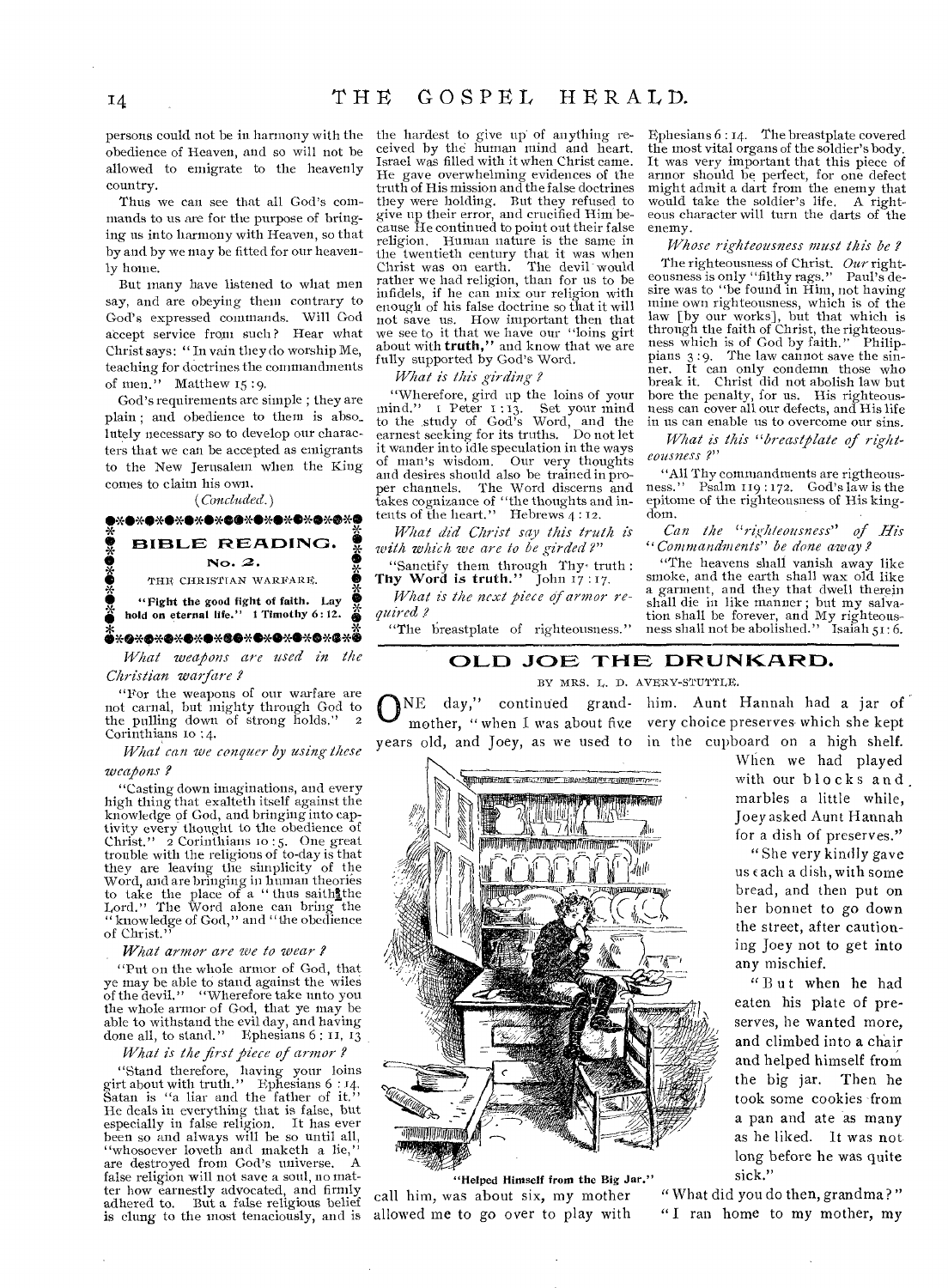persons could not be in harmony with the obedience of Heaven, and so will not be allowed to emigrate to the heavenly country.

Thus we can see that all God's commands to us are for the purpose of bringing us into harmony with Heaven, so that by and by we may be fitted for our heavenly home.

But many have listened to what men say, and are obeying them contrary to God's expressed commands. Will God accept service from such? Hear what Christ says: " In vain they do worship Me, teaching for doctrines the commandments of men." Matthew 15 :9.

God's requirements are simple ; they are plain ; and obedience to them is abso\_ lutely necessary so to develop our characters that we can be accepted as emigrants to the New Jerusalem when the King comes to claim his own.

*(Concluded.)* 

# •<br>•<br>•<br>• .<br>•\*\*\*\*\*\*\*\*\*\*\*\*\*\*\*\*\*\*\*\*\*\*\*\*\*\* **•\*•\*\*\*\*\*\*\*\*\*\*\*\*\*\*\*\*\*\*\*\* S**<br>BIBLE READING.  $\frac{3}{2}$ <br> $\frac{3}{2}$  No. 2. **• BIBLE READING<br>• No. 2.<br>• THE CHRISTIAN WARFARE.** • "Fight the good fight of faith. Lay • hold on eternal life." 1 Timothy 6:12.

*What weapons are used in the Christian warfare ?* 

"For the weapons of our warfare are not carnal, but mighty through God to the pulling down of strong holds." Corinthians to :4.

*What can we conquer by using these* 

# *weapons ?*

"Casting down imaginations, and every high thing that exalteth itself against the knowledge of God, and bringing into captivity every thought to the obedience of Christ."  $\vec{2}$  Corinthians 10:5. One great trouble with the religions of to-day is that they are leaving the simplicity of the Word, and are bringing in human theories to take the place of a " thus saithlthe Lord." The Word alone can bring the " knowledge of God," and "the obedience of Christ."

#### *What armor are we to wear*

"Put on the whole armor of God, that ye may be able to stand against the wiles of the devil." "Wherefore take unto you the whole armor of God, that ye may be able to withstand the evil day, and having done all, to stand." Ephesians 6 : 11, 13

#### *What is the first piece of armor ?*

"Stand therefore, having your loins girt about with truth." Ephesians 6 : 14. Satan is "a liar and the father of it." He deals in everything that is false, but especially in false religion. It has ever been so and always will be so until all, "whosoever loveth and maketh a lie," are destroyed from God's universe. A false religion will not save a soul, no matter how earnestly advocated, and firmly<br>adhered to. But a false religious belief is clung to the most tenaciously, and is

the hardest to give up of anything received by the human mind and heart. Israel was filled with it when Christ came. He gave overwhelming evidences of the truth of His mission and the false doctrines they were holding. But they refused to give up their error, and crucified Him because He continued to point out their false religion. Human nature is the same in the twentieth century that it was when Christ was on earth. The devil- would rather we had religion, than for us to be infidels, if he can mix our religion with enough of his false doctrine so that it will not save us. How important then that we see to it that we have our "loins girt about with **truth,"** and know that we are fully supported by God's Word.

## *What is* this *girding ?*

"Wherefore, gird up the loins of your mind." 1 Peter 1:13. Set your mind<br>to the study of God's Word, and the<br>earnest seeking for its truths. Do not let it wander into idle speculation in the ways<br>of man's wisdom. Our very thoughts Our very thoughts and desires should also be trained in proper channels. The Word discerns and takes cognizance of "the thoughts and in-tents of the heart." Hebrews **4:12.** 

*What did Christ say this truth is with which we are to be girded?"* 

"Sanctify them through Thy, truth : **Thy Word is truth."** John 17 : 17.

*What is the next piece of armor required ?* 

"The breastplate of righteousness."

Ephesians 6 : 14. The breastplate covered the most vital organs of the soldier's body. It was very important that this piece of armor should be perfect, for one defect might admit a dart from the enemy that would take the soldier's life. A righteous character will turn the darts of the enemy.

*Whose righteousness must this be ?*  The righteousness of Christ. *Our* right-<br>pusness is only "filthy rags." Paul's deeousness is only "filthy rags." sire was to "be found in Him, not having mine own righteousness, which is of the law [by our works], but that which is through the faith of Christ, the righteous-ness which is of God by faith." Philippians 3:9. The law cannot save the sinner. It can only condemn those who break it. Christ did not abolish law but bore the penalty, for us. His righteous-ness can cover all our defects, and His life in us can enable us to overcome our sins.

*What is this "breastplate of righteousness ?"* 

"All Thy commandments are rigtheousness." Psalm 119 : 172. God's law is the epitome of the righteousness of His kingdom.

*Can the "righteousness" of His "Commandments" be done away* 

"The heavens shall vanish away like smoke, and the earth shall wax old like a garment, and they that dwell therein shall die in like manner ; but my salvation shall be forever, and My righteous-ness shall not be abolished." Isaiah 51: 6.

# **OLD JOE THE DRUNKARD.**

BY MRS. L. D. AVERY-STUTTLE.

ONE day," continued grand- him. Aunt Hannah had a jar of mother, "when I was about five very choice preserves which she kept mother, "when I was about five very choice preserves which she kept years old, and Joey, as we used to in the cupboard on a high shelf.



r<br>"Helped Himself from the Big Jar." sick."<br>as about six. my mother "What did you do then, grandma?" call him, was about six, my mother allowed me to go over to play with " I ran home to my mother, my

When we had played with our blocks and marbles a little while, Joey asked Aunt Hannah for a dish of preserves."

"She very kindly gave us each a dish, with some bread, and then put on her bonnet to go down the street, after caution ing Joey not to get into any mischief.

"But when he had eaten his plate of preserves, he wanted more, and climbed into a chair and helped himself from the big jar. Then he took some cookies -from a pan and ate as many as he liked. It was not long before he was quite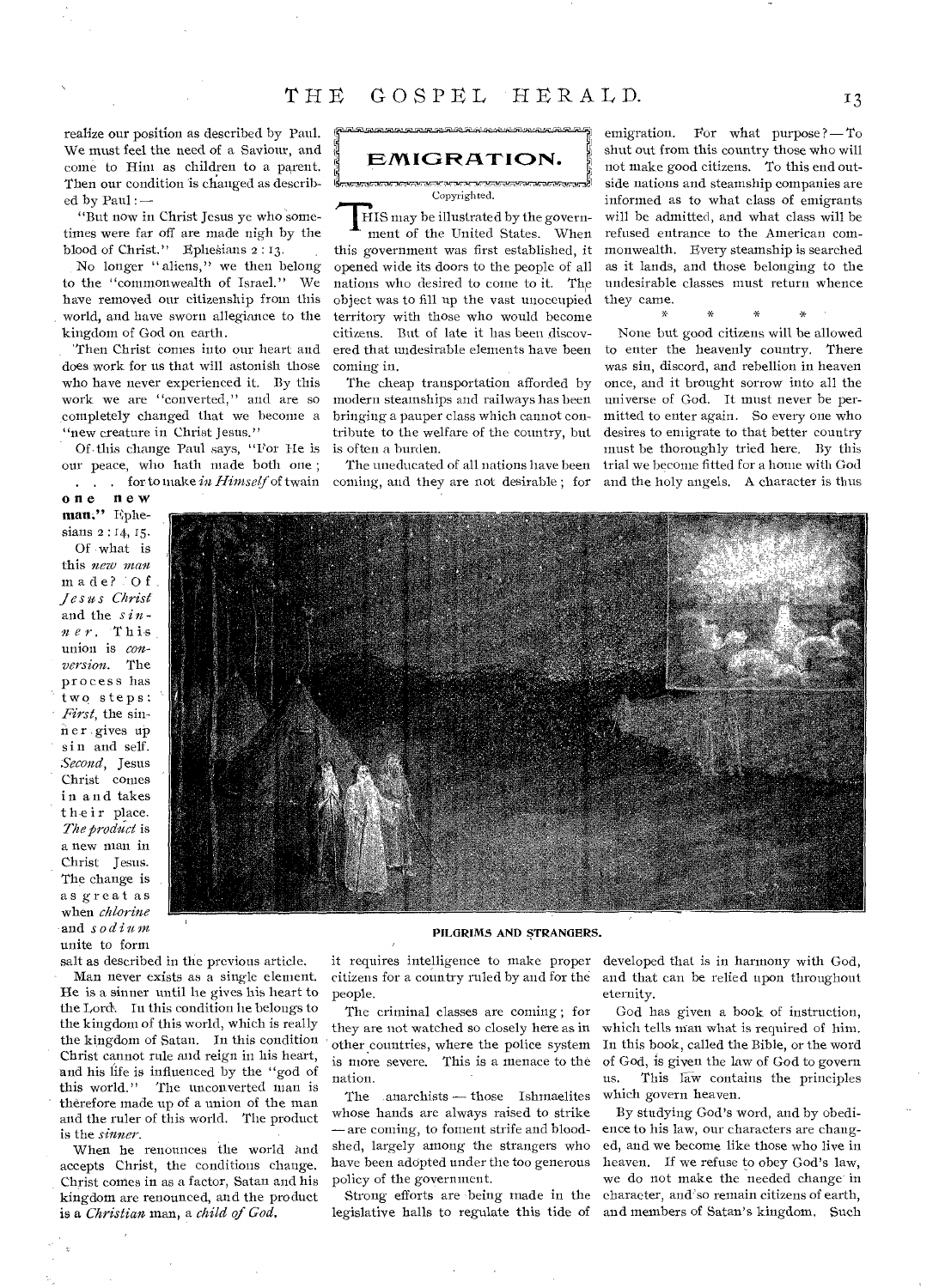realize our position as described by Paul. We must feel the need of a Saviour, and come to Hint as children to a parent. Then our condition is changed as described by Paul :-

"But now in Christ Jesus ye who sometimes were far off are made nigh by the blood of Christ." Ephesians 2:13.

No longer "aliens," we then belong to the "commonwealth of Israel." We have removed our citizenship from this . world, and have sworn allegiance to the kingdom of God on earth.

'Then Christ conies into our heart and does work for us that will astonish those who have never experienced it. By this work we are "converted," and are so completely changed that we become a "new creature in Christ Jesus."

Of. this change Paul says, "Por He is our peace, who hath made both one; . . . for to make *in Himself* of twain<br>**one new** 

**one new man:"** Ephesians **2 : 14, 15.**  Of what is this new man made? :Of *Jesus Christ*  and the *sin n e r .* This union is *conversion.* The process has two steps: *First*, the sinn er gives up sin and self. *Second,* Jesus Christ conies in and takes their place. *The product is*  a new man **in**  Christ Jesus. The change is as great as when *chlorine*  and *sodium*  unite to form

salt as described in the previous article. Man never exists as a single element. He is a sinner until he gives his heart to the Lord. In this condition lie belongs to the kingdom of this world, which is really the kingdom of Satan. In this condition Christ cannot rule and reign in his heart, and his life is influenced by the "god of this world." The unconverted man is ' therefore made up of a union of the man and the ruler of this world. The product is the *sinner.* 

When he renounces the world and accepts Christ, the conditions change. Christ comes in as a factor, Satan and his kingdom are renounced, and the product is *a Christian* man, a *child of God.* 

**EMIGRATION.** 

Copyrighted.

Copyrighted.<br>HIS may be illustrated by the government of the United States. When this government was first established, it opened wide its doors to the people of all nations who desired to come to it. The object was to fill up the vast unoccupied territory with those who would become citizens. But of late it has been discovered that undesirable elements have *been*  coming in.

The cheap transportation afforded by modern steamships and railways has been bringing a pauper class which cannot contribute to the welfare of the country, but is often a burden.

The uneducated of all nations have been coming, and they are not desirable ; for

emigration. For what purpose  $? - To$ shut out from this country those who will not make good citizens. To this end outside nations and steamship companies are informed as to what class of emigrants will be admitted, and what class will be refused entrance to the American commonwealth. Every steamship is searched as it lands, and those belonging to the undesirable classes must return whence they came.

None but good citizens will be allowed to enter the heavenly country. There was sin, discord, and rebellion in heaven once, and it brought sorrow into all the universe of God. It must never be permitted to enter again. So every one who desires to emigrate to that better country must be thoroughly tried here. By this trial we become fitted for a home with God and the holy angels. A character is thus



#### **PILGRIMS AND STRANGERS.**

it requires intelligence to make proper developed that is in harmony with God, citizens for a country ruled by and for the people.

The criminal classes are coming ; for they are not watched so closely here as in other countries, where the police system is more severe. This is a menace to the nation.

The anarchists — those Ishmaelites whose hands are always raised to strike -are coming, to foment strife and bloodshed, largely among the strangers who have been adopted under the too generous policy of the government.

Strong efforts are being made in the legislative halls to regulate this tide of

and that can be relied upon throughout eternity.

God has given a book of instruction, which tells man what is required of him. In this book, called the Bible, or the word of God, is given the law of God to govern us. This law contains the principles which govern heaven.

By studying God's word, and by obedience to his law, our characters are changed, and we become like those who live in heaven. If we refuse to obey God's law, we do not make the needed change in character, and so remain citizens of earth, and members of Satan's kingdom. Such

 $I<sub>3</sub>$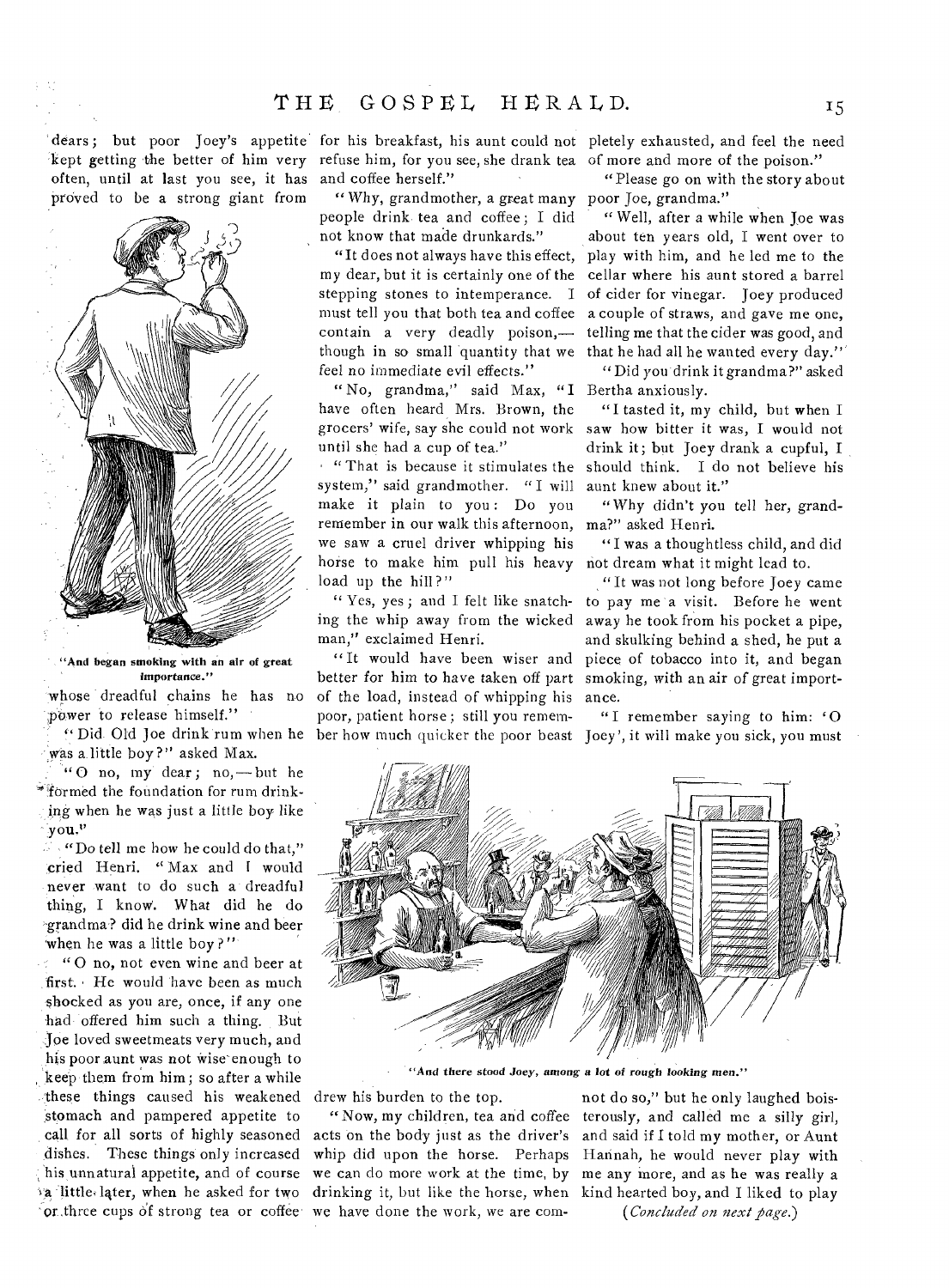often, until at last you see, it has and coffee herself." proved to be a strong giant from



"And began smoking with an air of great importance."

whose dreadful chains he has no power to release himself."

"Did.Old Joe drink rum when he was a little boy?" asked Max.

"O no, my dear; no,—but he "fOrmed the foundation for rum drinking when he was just a little boy like You."

"Do tell me how he could do that," cried Henri. "Max and I would never want to do such a dreadful thing, I know. What did he do -grandma ? did he drink wine and beer when he was a little boy?"

 $\frac{1}{2}$ "O no, not even wine and beer at first. He would have been as much shocked as you are, once, if any one 'had offered him such a thing. But Joe loved sweetmeats very much, and his poor aunt was not wise enough to keep them from him; so after a while these things caused his weakened stomach and pampered appetite to call for all sorts of highly seasoned dishes. These things only increased his unnatural appetite, and of course "a little, later, when he asked for two or three cups of strong tea or coffee

dears ; but poor Joey's appetite for his breakfast, his aunt could not pletely exhausted, and feel the need kept getting the better of him very refuse him, for you see, she drank tea of more and more of the poison."

> " Why, grandmother, a great many poor Joe, grandma." people drink tea and coffee ; I did not know that made drunkards."

"It does not always have this effect, my dear, but it is certainly one of the stepping stones to intemperance. I must tell you that both tea and coffee contain a very deadly poison, though in so small quantity that we feel no immediate evil effects."

" No, grandma," said Max, "I Bertha anxiously. have often heard Mrs. Brown, the grocers' wife, say she could not work until she had a cup of tea."

"That is because it stimulates the system," said grandmother. " I will make it plain to you: Do you remember in our walk this afternoon, we saw a cruel driver whipping his horse to make him pull his heavy load up the hill?"

" Yes, yes ; and I felt like snatching the whip away from the wicked man," exclaimed Henri.

"It would have been wiser and better for him to have taken off part of the load, instead of whipping his poor, patient horse ; still you remember how much quicker the poor beast

"Please go on with the story about

" Well, after a while when Joe was about ten years old, I went over to play with him, and he led me to the cellar where his aunt stored a barrel of cider for vinegar. Joey produced a couple of straws, and gave me one, telling me that the cider was good, and that he had all he wanted every day."

" Did you drink it grandma?" asked

"I tasted it, my child, but when I saw how bitter it was, I would not drink it; but Joey drank a cupful, I should think. I do not believe his aunt knew about it."

"Why didn't you tell her, grandma?" asked Henri.

"I was a thoughtless child, and did not dream what it might lead to.

"It was not long before Joey came to pay me a visit. Before he went away he took from his pocket a pipe, and skulking behind a shed, he put a piece of tobacco into it, and began smoking, with an air of great importance.

"I remember saying to him:  $'O$ Joey', it will make you sick, you must



*"And* there stood *Joey, among a lot* of *rough looking men."* 

drew his burden to the top.

"Now, my children, tea and coffee acts on the body just as the driver's whip did upon the horse. Perhaps we can do more work at the time, by drinking it, but like the horse, when we have done the work, we are com-

not do so," but he only laughed boisterously, and called me a silly girl, and said if I told my mother, or Aunt Hannah, he would never play with me any more, and as he was really a kind hearted boy, and I liked to play